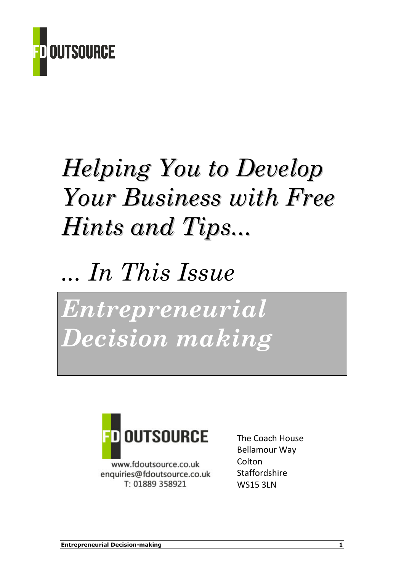

# Helping You to Develop Your Business with Free Hints and Tips...

# ... In This Issue

Entrepreneurial Decision making



www.fdoutsource.co.uk enquiries@fdoutsource.co.uk T: 01889 358921

The Coach House Bellamour Way **Colton** Staffordshire WS15 3LN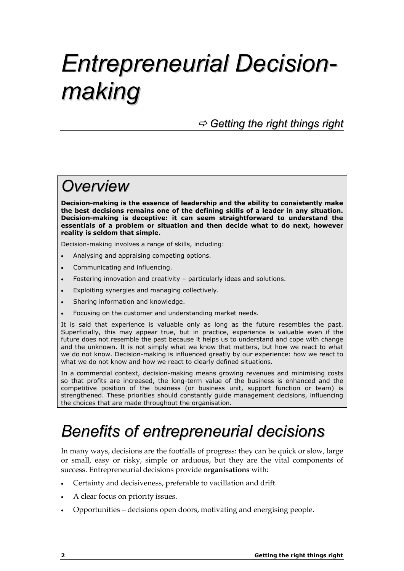# Entrepreneurial Decisionmaking

 $\Rightarrow$  Getting the right things right

### **Overview**

Decision-making is the essence of leadership and the ability to consistently make the best decisions remains one of the defining skills of a leader in any situation. Decision-making is deceptive: it can seem straightforward to understand the essentials of a problem or situation and then decide what to do next, however reality is seldom that simple.

Decision-making involves a range of skills, including:

- Analysing and appraising competing options.
- Communicating and influencing.
- Fostering innovation and creativity particularly ideas and solutions.
- Exploiting synergies and managing collectively.
- Sharing information and knowledge.
- Focusing on the customer and understanding market needs.

It is said that experience is valuable only as long as the future resembles the past. Superficially, this may appear true, but in practice, experience is valuable even if the future does not resemble the past because it helps us to understand and cope with change and the unknown. It is not simply what we know that matters, but how we react to what we do not know. Decision-making is influenced greatly by our experience: how we react to what we do not know and how we react to clearly defined situations.

In a commercial context, decision-making means growing revenues and minimising costs so that profits are increased, the long-term value of the business is enhanced and the competitive position of the business (or business unit, support function or team) is strengthened. These priorities should constantly guide management decisions, influencing the choices that are made throughout the organisation.

## Benefits of entrepreneurial decisions

In many ways, decisions are the footfalls of progress: they can be quick or slow, large or small, easy or risky, simple or arduous, but they are the vital components of success. Entrepreneurial decisions provide organisations with:

- Certainty and decisiveness, preferable to vacillation and drift.
- A clear focus on priority issues.
- Opportunities decisions open doors, motivating and energising people.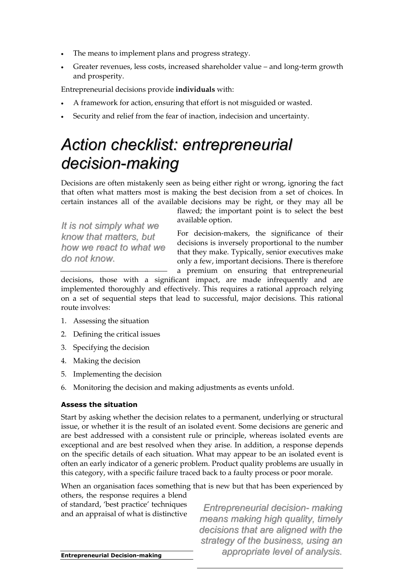- The means to implement plans and progress strategy.
- Greater revenues, less costs, increased shareholder value and long-term growth and prosperity.

Entrepreneurial decisions provide individuals with:

- A framework for action, ensuring that effort is not misguided or wasted.
- Security and relief from the fear of inaction, indecision and uncertainty.

### Action checklist: entrepreneurial decision-making

Decisions are often mistakenly seen as being either right or wrong, ignoring the fact that often what matters most is making the best decision from a set of choices. In certain instances all of the available decisions may be right, or they may all be

It is not simply what we know that matters, but how we react to what we do not know.

flawed; the important point is to select the best available option.

For decision-makers, the significance of their decisions is inversely proportional to the number that they make. Typically, senior executives make only a few, important decisions. There is therefore a premium on ensuring that entrepreneurial

decisions, those with a significant impact, are made infrequently and are implemented thoroughly and effectively. This requires a rational approach relying on a set of sequential steps that lead to successful, major decisions. This rational route involves:

- 1. Assessing the situation
- 2. Defining the critical issues
- 3. Specifying the decision
- 4. Making the decision
- 5. Implementing the decision
- 6. Monitoring the decision and making adjustments as events unfold.

#### Assess the situation

Start by asking whether the decision relates to a permanent, underlying or structural issue, or whether it is the result of an isolated event. Some decisions are generic and are best addressed with a consistent rule or principle, whereas isolated events are exceptional and are best resolved when they arise. In addition, a response depends on the specific details of each situation. What may appear to be an isolated event is often an early indicator of a generic problem. Product quality problems are usually in this category, with a specific failure traced back to a faulty process or poor morale.

When an organisation faces something that is new but that has been experienced by others, the response requires a blend

of standard, 'best practice' techniques and an appraisal of what is distinctive

Entrepreneurial decision- making means making high quality, timely decisions that are aligned with the strategy of the business, using an appropriate level of analysis.

Entrepreneurial Decision-making 3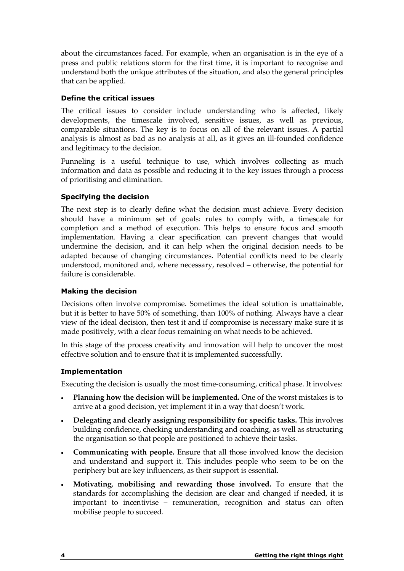about the circumstances faced. For example, when an organisation is in the eye of a press and public relations storm for the first time, it is important to recognise and understand both the unique attributes of the situation, and also the general principles that can be applied.

### Define the critical issues

The critical issues to consider include understanding who is affected, likely developments, the timescale involved, sensitive issues, as well as previous, comparable situations. The key is to focus on all of the relevant issues. A partial analysis is almost as bad as no analysis at all, as it gives an ill-founded confidence and legitimacy to the decision.

Funneling is a useful technique to use, which involves collecting as much information and data as possible and reducing it to the key issues through a process of prioritising and elimination.

### Specifying the decision

The next step is to clearly define what the decision must achieve. Every decision should have a minimum set of goals: rules to comply with, a timescale for completion and a method of execution. This helps to ensure focus and smooth implementation. Having a clear specification can prevent changes that would undermine the decision, and it can help when the original decision needs to be adapted because of changing circumstances. Potential conflicts need to be clearly understood, monitored and, where necessary, resolved – otherwise, the potential for failure is considerable.

### Making the decision

Decisions often involve compromise. Sometimes the ideal solution is unattainable, but it is better to have 50% of something, than 100% of nothing. Always have a clear view of the ideal decision, then test it and if compromise is necessary make sure it is made positively, with a clear focus remaining on what needs to be achieved.

In this stage of the process creativity and innovation will help to uncover the most effective solution and to ensure that it is implemented successfully.

### Implementation

Executing the decision is usually the most time-consuming, critical phase. It involves:

- Planning how the decision will be implemented. One of the worst mistakes is to arrive at a good decision, yet implement it in a way that doesn't work.
- Delegating and clearly assigning responsibility for specific tasks. This involves building confidence, checking understanding and coaching, as well as structuring the organisation so that people are positioned to achieve their tasks.
- Communicating with people. Ensure that all those involved know the decision and understand and support it. This includes people who seem to be on the periphery but are key influencers, as their support is essential.
- Motivating, mobilising and rewarding those involved. To ensure that the standards for accomplishing the decision are clear and changed if needed, it is important to incentivise – remuneration, recognition and status can often mobilise people to succeed.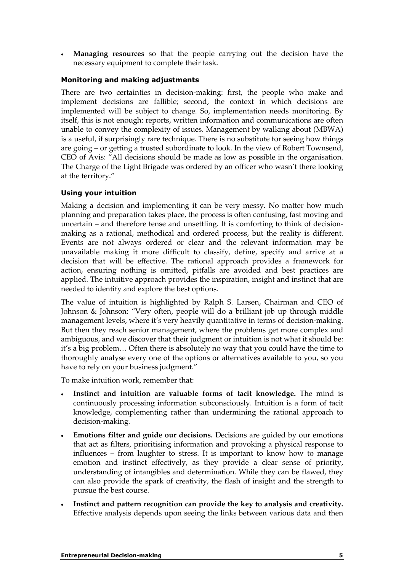**Managing resources** so that the people carrying out the decision have the necessary equipment to complete their task.

### Monitoring and making adjustments

There are two certainties in decision-making: first, the people who make and implement decisions are fallible; second, the context in which decisions are implemented will be subject to change. So, implementation needs monitoring. By itself, this is not enough: reports, written information and communications are often unable to convey the complexity of issues. Management by walking about (MBWA) is a useful, if surprisingly rare technique. There is no substitute for seeing how things are going – or getting a trusted subordinate to look. In the view of Robert Townsend, CEO of Avis: "All decisions should be made as low as possible in the organisation. The Charge of the Light Brigade was ordered by an officer who wasn't there looking at the territory."

### Using your intuition

Making a decision and implementing it can be very messy. No matter how much planning and preparation takes place, the process is often confusing, fast moving and uncertain – and therefore tense and unsettling. It is comforting to think of decisionmaking as a rational, methodical and ordered process, but the reality is different. Events are not always ordered or clear and the relevant information may be unavailable making it more difficult to classify, define, specify and arrive at a decision that will be effective. The rational approach provides a framework for action, ensuring nothing is omitted, pitfalls are avoided and best practices are applied. The intuitive approach provides the inspiration, insight and instinct that are needed to identify and explore the best options.

The value of intuition is highlighted by Ralph S. Larsen, Chairman and CEO of Johnson & Johnson: "Very often, people will do a brilliant job up through middle management levels, where it's very heavily quantitative in terms of decision-making. But then they reach senior management, where the problems get more complex and ambiguous, and we discover that their judgment or intuition is not what it should be: it's a big problem… Often there is absolutely no way that you could have the time to thoroughly analyse every one of the options or alternatives available to you, so you have to rely on your business judgment."

To make intuition work, remember that:

- Instinct and intuition are valuable forms of tacit knowledge. The mind is continuously processing information subconsciously. Intuition is a form of tacit knowledge, complementing rather than undermining the rational approach to decision-making.
- Emotions filter and guide our decisions. Decisions are guided by our emotions that act as filters, prioritising information and provoking a physical response to influences – from laughter to stress. It is important to know how to manage emotion and instinct effectively, as they provide a clear sense of priority, understanding of intangibles and determination. While they can be flawed, they can also provide the spark of creativity, the flash of insight and the strength to pursue the best course.
- Instinct and pattern recognition can provide the key to analysis and creativity. Effective analysis depends upon seeing the links between various data and then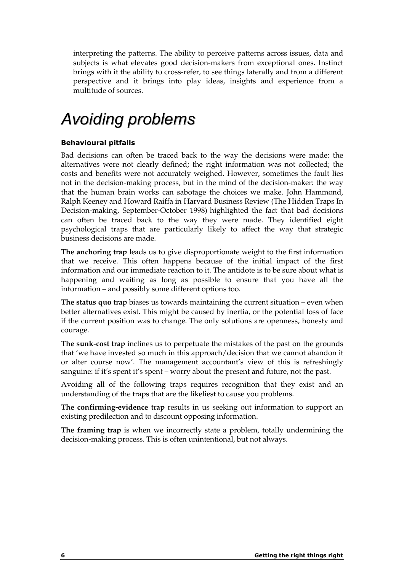interpreting the patterns. The ability to perceive patterns across issues, data and subjects is what elevates good decision-makers from exceptional ones. Instinct brings with it the ability to cross-refer, to see things laterally and from a different perspective and it brings into play ideas, insights and experience from a multitude of sources.

## Avoiding problems

### Behavioural pitfalls

Bad decisions can often be traced back to the way the decisions were made: the alternatives were not clearly defined; the right information was not collected; the costs and benefits were not accurately weighed. However, sometimes the fault lies not in the decision-making process, but in the mind of the decision-maker: the way that the human brain works can sabotage the choices we make. John Hammond, Ralph Keeney and Howard Raiffa in Harvard Business Review (The Hidden Traps In Decision-making, September-October 1998) highlighted the fact that bad decisions can often be traced back to the way they were made. They identified eight psychological traps that are particularly likely to affect the way that strategic business decisions are made.

The anchoring trap leads us to give disproportionate weight to the first information that we receive. This often happens because of the initial impact of the first information and our immediate reaction to it. The antidote is to be sure about what is happening and waiting as long as possible to ensure that you have all the information – and possibly some different options too.

The status quo trap biases us towards maintaining the current situation – even when better alternatives exist. This might be caused by inertia, or the potential loss of face if the current position was to change. The only solutions are openness, honesty and courage.

The sunk-cost trap inclines us to perpetuate the mistakes of the past on the grounds that 'we have invested so much in this approach/decision that we cannot abandon it or alter course now'. The management accountant's view of this is refreshingly sanguine: if it's spent it's spent – worry about the present and future, not the past.

Avoiding all of the following traps requires recognition that they exist and an understanding of the traps that are the likeliest to cause you problems.

The confirming-evidence trap results in us seeking out information to support an existing predilection and to discount opposing information.

The framing trap is when we incorrectly state a problem, totally undermining the decision-making process. This is often unintentional, but not always.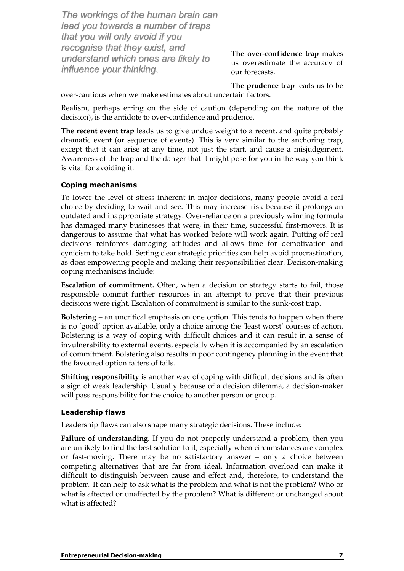The workings of the human brain can lead you towards a number of traps that you will only avoid if you recognise that they exist, and understand which ones are likely to influence your thinking.

The over-confidence trap makes us overestimate the accuracy of our forecasts.

The prudence trap leads us to be over-cautious when we make estimates about uncertain factors.

Realism, perhaps erring on the side of caution (depending on the nature of the decision), is the antidote to over-confidence and prudence.

The recent event trap leads us to give undue weight to a recent, and quite probably dramatic event (or sequence of events). This is very similar to the anchoring trap, except that it can arise at any time, not just the start, and cause a misjudgement. Awareness of the trap and the danger that it might pose for you in the way you think is vital for avoiding it.

### Coping mechanisms

To lower the level of stress inherent in major decisions, many people avoid a real choice by deciding to wait and see. This may increase risk because it prolongs an outdated and inappropriate strategy. Over-reliance on a previously winning formula has damaged many businesses that were, in their time, successful first-movers. It is dangerous to assume that what has worked before will work again. Putting off real decisions reinforces damaging attitudes and allows time for demotivation and cynicism to take hold. Setting clear strategic priorities can help avoid procrastination, as does empowering people and making their responsibilities clear. Decision-making coping mechanisms include:

Escalation of commitment. Often, when a decision or strategy starts to fail, those responsible commit further resources in an attempt to prove that their previous decisions were right. Escalation of commitment is similar to the sunk-cost trap.

Bolstering – an uncritical emphasis on one option. This tends to happen when there is no 'good' option available, only a choice among the 'least worst' courses of action. Bolstering is a way of coping with difficult choices and it can result in a sense of invulnerability to external events, especially when it is accompanied by an escalation of commitment. Bolstering also results in poor contingency planning in the event that the favoured option falters of fails.

Shifting responsibility is another way of coping with difficult decisions and is often a sign of weak leadership. Usually because of a decision dilemma, a decision-maker will pass responsibility for the choice to another person or group.

### Leadership flaws

Leadership flaws can also shape many strategic decisions. These include:

Failure of understanding. If you do not properly understand a problem, then you are unlikely to find the best solution to it, especially when circumstances are complex or fast-moving. There may be no satisfactory answer – only a choice between competing alternatives that are far from ideal. Information overload can make it difficult to distinguish between cause and effect and, therefore, to understand the problem. It can help to ask what is the problem and what is not the problem? Who or what is affected or unaffected by the problem? What is different or unchanged about what is affected?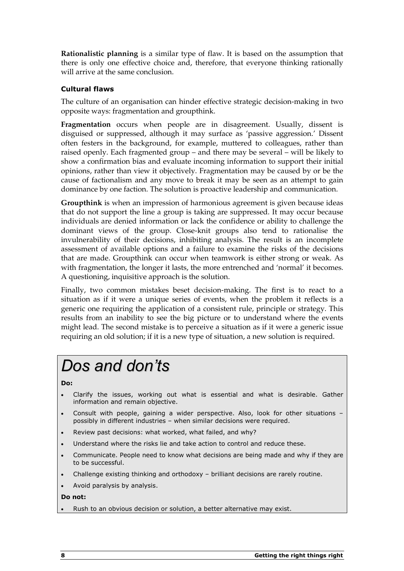Rationalistic planning is a similar type of flaw. It is based on the assumption that there is only one effective choice and, therefore, that everyone thinking rationally will arrive at the same conclusion.

### Cultural flaws

The culture of an organisation can hinder effective strategic decision-making in two opposite ways: fragmentation and groupthink.

Fragmentation occurs when people are in disagreement. Usually, dissent is disguised or suppressed, although it may surface as 'passive aggression.' Dissent often festers in the background, for example, muttered to colleagues, rather than raised openly. Each fragmented group – and there may be several – will be likely to show a confirmation bias and evaluate incoming information to support their initial opinions, rather than view it objectively. Fragmentation may be caused by or be the cause of factionalism and any move to break it may be seen as an attempt to gain dominance by one faction. The solution is proactive leadership and communication.

Groupthink is when an impression of harmonious agreement is given because ideas that do not support the line a group is taking are suppressed. It may occur because individuals are denied information or lack the confidence or ability to challenge the dominant views of the group. Close-knit groups also tend to rationalise the invulnerability of their decisions, inhibiting analysis. The result is an incomplete assessment of available options and a failure to examine the risks of the decisions that are made. Groupthink can occur when teamwork is either strong or weak. As with fragmentation, the longer it lasts, the more entrenched and 'normal' it becomes. A questioning, inquisitive approach is the solution.

Finally, two common mistakes beset decision-making. The first is to react to a situation as if it were a unique series of events, when the problem it reflects is a generic one requiring the application of a consistent rule, principle or strategy. This results from an inability to see the big picture or to understand where the events might lead. The second mistake is to perceive a situation as if it were a generic issue requiring an old solution; if it is a new type of situation, a new solution is required.

## Dos and don'ts

#### Do:

- Clarify the issues, working out what is essential and what is desirable. Gather information and remain objective.
- Consult with people, gaining a wider perspective. Also, look for other situations possibly in different industries – when similar decisions were required.
- Review past decisions: what worked, what failed, and why?
- Understand where the risks lie and take action to control and reduce these.
- Communicate. People need to know what decisions are being made and why if they are to be successful.
- Challenge existing thinking and orthodoxy brilliant decisions are rarely routine.
- Avoid paralysis by analysis.

#### Do not:

Rush to an obvious decision or solution, a better alternative may exist.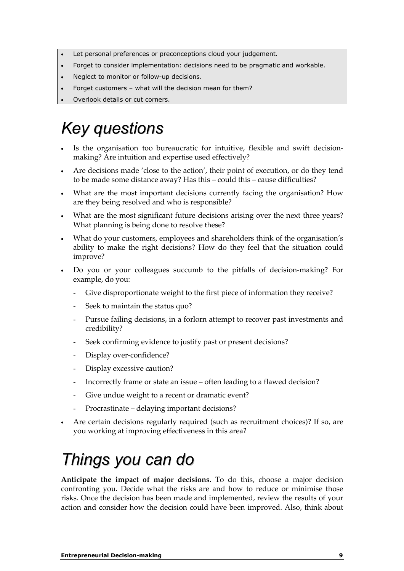- Let personal preferences or preconceptions cloud your judgement.
- Forget to consider implementation: decisions need to be pragmatic and workable.
- Neglect to monitor or follow-up decisions.
- Forget customers what will the decision mean for them?
- Overlook details or cut corners.

## Key questions

- Is the organisation too bureaucratic for intuitive, flexible and swift decisionmaking? Are intuition and expertise used effectively?
- Are decisions made 'close to the action', their point of execution, or do they tend to be made some distance away? Has this – could this – cause difficulties?
- What are the most important decisions currently facing the organisation? How are they being resolved and who is responsible?
- What are the most significant future decisions arising over the next three years? What planning is being done to resolve these?
- What do your customers, employees and shareholders think of the organisation's ability to make the right decisions? How do they feel that the situation could improve?
- Do you or your colleagues succumb to the pitfalls of decision-making? For example, do you:
	- Give disproportionate weight to the first piece of information they receive?
	- Seek to maintain the status quo?
	- Pursue failing decisions, in a forlorn attempt to recover past investments and credibility?
	- Seek confirming evidence to justify past or present decisions?
	- Display over-confidence?
	- Display excessive caution?
	- Incorrectly frame or state an issue often leading to a flawed decision?
	- Give undue weight to a recent or dramatic event?
	- Procrastinate delaying important decisions?
- Are certain decisions regularly required (such as recruitment choices)? If so, are you working at improving effectiveness in this area?

## Things you can do

Anticipate the impact of major decisions. To do this, choose a major decision confronting you. Decide what the risks are and how to reduce or minimise those risks. Once the decision has been made and implemented, review the results of your action and consider how the decision could have been improved. Also, think about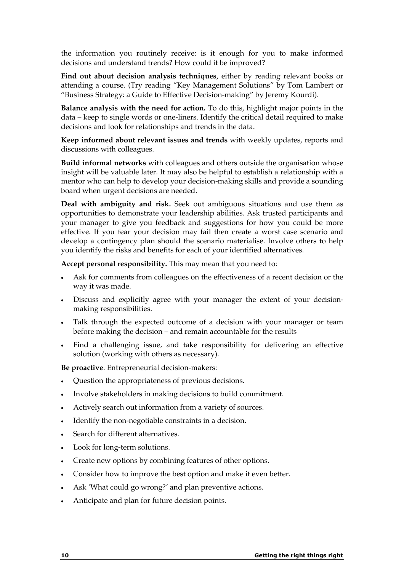the information you routinely receive: is it enough for you to make informed decisions and understand trends? How could it be improved?

Find out about decision analysis techniques, either by reading relevant books or attending a course. (Try reading "Key Management Solutions" by Tom Lambert or "Business Strategy: a Guide to Effective Decision-making" by Jeremy Kourdi).

Balance analysis with the need for action. To do this, highlight major points in the data – keep to single words or one-liners. Identify the critical detail required to make decisions and look for relationships and trends in the data.

Keep informed about relevant issues and trends with weekly updates, reports and discussions with colleagues.

Build informal networks with colleagues and others outside the organisation whose insight will be valuable later. It may also be helpful to establish a relationship with a mentor who can help to develop your decision-making skills and provide a sounding board when urgent decisions are needed.

Deal with ambiguity and risk. Seek out ambiguous situations and use them as opportunities to demonstrate your leadership abilities. Ask trusted participants and your manager to give you feedback and suggestions for how you could be more effective. If you fear your decision may fail then create a worst case scenario and develop a contingency plan should the scenario materialise. Involve others to help you identify the risks and benefits for each of your identified alternatives.

Accept personal responsibility. This may mean that you need to:

- Ask for comments from colleagues on the effectiveness of a recent decision or the way it was made.
- Discuss and explicitly agree with your manager the extent of your decisionmaking responsibilities.
- Talk through the expected outcome of a decision with your manager or team before making the decision – and remain accountable for the results
- Find a challenging issue, and take responsibility for delivering an effective solution (working with others as necessary).

Be proactive. Entrepreneurial decision-makers:

- Question the appropriateness of previous decisions.
- Involve stakeholders in making decisions to build commitment.
- Actively search out information from a variety of sources.
- Identify the non-negotiable constraints in a decision.
- Search for different alternatives.
- Look for long-term solutions.
- Create new options by combining features of other options.
- Consider how to improve the best option and make it even better.
- Ask 'What could go wrong?' and plan preventive actions.
- Anticipate and plan for future decision points.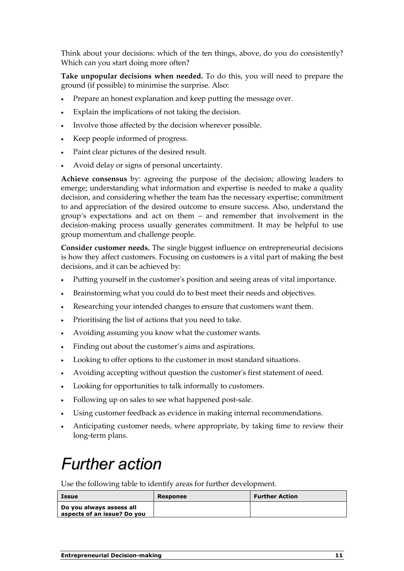Think about your decisions: which of the ten things, above, do you do consistently? Which can you start doing more often?

Take unpopular decisions when needed. To do this, you will need to prepare the ground (if possible) to minimise the surprise. Also:

- Prepare an honest explanation and keep putting the message over.
- Explain the implications of not taking the decision.
- Involve those affected by the decision wherever possible.
- Keep people informed of progress.
- Paint clear pictures of the desired result.
- Avoid delay or signs of personal uncertainty.

Achieve consensus by: agreeing the purpose of the decision; allowing leaders to emerge; understanding what information and expertise is needed to make a quality decision, and considering whether the team has the necessary expertise; commitment to and appreciation of the desired outcome to ensure success. Also, understand the group's expectations and act on them – and remember that involvement in the decision-making process usually generates commitment. It may be helpful to use group momentum and challenge people.

Consider customer needs. The single biggest influence on entrepreneurial decisions is how they affect customers. Focusing on customers is a vital part of making the best decisions, and it can be achieved by:

- Putting yourself in the customer's position and seeing areas of vital importance.
- Brainstorming what you could do to best meet their needs and objectives.
- Researching your intended changes to ensure that customers want them.
- Prioritising the list of actions that you need to take.
- Avoiding assuming you know what the customer wants.
- Finding out about the customer's aims and aspirations.
- Looking to offer options to the customer in most standard situations.
- Avoiding accepting without question the customer's first statement of need.
- Looking for opportunities to talk informally to customers.
- Following up on sales to see what happened post-sale.
- Using customer feedback as evidence in making internal recommendations.
- Anticipating customer needs, where appropriate, by taking time to review their long-term plans.

### Further action

Use the following table to identify areas for further development.

| Issue                                                   | Response | <b>Further Action</b> |
|---------------------------------------------------------|----------|-----------------------|
| Do you always assess all<br>aspects of an issue? Do you |          |                       |